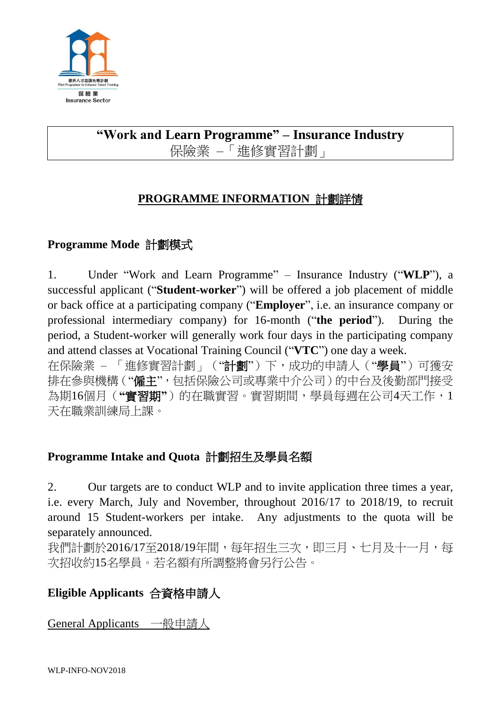

# **"Work and Learn Programme" – Insurance Industry** 保險業 –「進修實習計劃」

## **PROGRAMME INFORMATION** 計劃詳情

## **Programme Mode** 計劃模式

1. Under "Work and Learn Programme" – Insurance Industry ("**WLP**"), a successful applicant ("**Student-worker**") will be offered a job placement of middle or back office at a participating company ("**Employer**", i.e. an insurance company or professional intermediary company) for 16-month ("**the period**"). During the period, a Student-worker will generally work four days in the participating company and attend classes at Vocational Training Council ("**VTC**") one day a week.

在保險業 – 「進修實習計劃」("計劃")下,成功的申請人("學員")可獲安 排在參與機構("僱主",包括保險公司或專業中介公司)的中台及後勤部門接受 為期16個月(**"**實習期**"**)的在職實習。實習期間,學員每週在公司4天工作,1 天在職業訓練局上課。

#### **Programme Intake and Quota** 計劃招生及學員名額

2. Our targets are to conduct WLP and to invite application three times a year, i.e. every March, July and November, throughout 2016/17 to 2018/19, to recruit around 15 Student-workers per intake. Any adjustments to the quota will be separately announced.

我們計劃於2016/17至2018/19年間,每年招生三次,即三月、七月及十一月,每 次招收約15名學員。若名額有所調整將會另行公告。

## **Eligible Applicants** 合資格申請人

General Applicants 一般申請人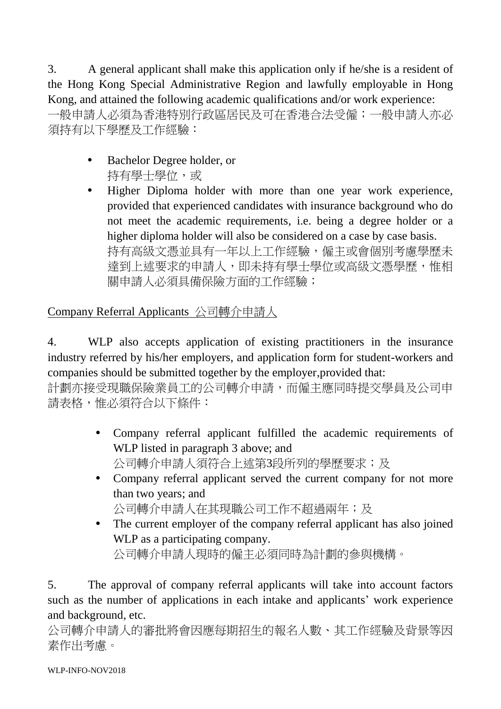3. A general applicant shall make this application only if he/she is a resident of the Hong Kong Special Administrative Region and lawfully employable in Hong Kong, and attained the following academic qualifications and/or work experience: 一般申請人必須為香港特別行政區居民及可在香港合法受僱;一般申請人亦必 須持有以下學歷及工作經驗:

- Bachelor Degree holder, or 持有學士學位,或
- Higher Diploma holder with more than one year work experience, provided that experienced candidates with insurance background who do not meet the academic requirements, i.e. being a degree holder or a higher diploma holder will also be considered on a case by case basis. 持有高級文憑並具有一年以上工作經驗,僱主或會個別考慮學歷未 達到上述要求的申請人,即未持有學士學位或高級文憑學歷,惟相 關申請人必須具備保險方面的工作經驗;

Company Referral Applicants 公司轉介申請人

4. WLP also accepts application of existing practitioners in the insurance industry referred by his/her employers, and application form for student-workers and companies should be submitted together by the employer,provided that:

計劃亦接受現職保險業員工的公司轉介申請,而僱主應同時提交學員及公司申 請表格,惟必須符合以下條件:

- Company referral applicant fulfilled the academic requirements of WLP listed in paragraph 3 above; and 公司轉介申請人須符合上述第3段所列的學歷要求;及
- Company referral applicant served the current company for not more than two years; and 公司轉介申請人在其現職公司工作不超過兩年;及
- The current employer of the company referral applicant has also joined WLP as a participating company.

公司轉介申請人現時的僱主必須同時為計劃的參與機構。

5. The approval of company referral applicants will take into account factors such as the number of applications in each intake and applicants' work experience and background, etc.

公司轉介申請人的審批將會因應每期招生的報名人數、其工作經驗及背景等因 素作出考慮。

WLP-INFO-NOV2018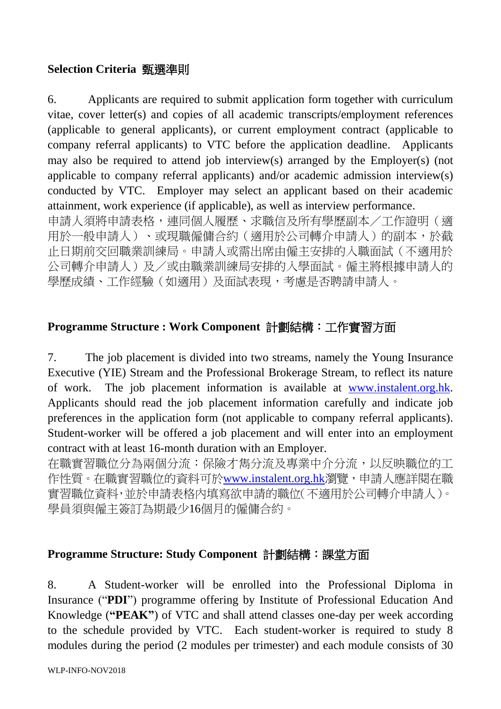#### **Selection Criteria** 甄選準則

6. Applicants are required to submit application form together with curriculum vitae, cover letter(s) and copies of all academic transcripts/employment references (applicable to general applicants), or current employment contract (applicable to company referral applicants) to VTC before the application deadline. Applicants may also be required to attend job interview(s) arranged by the Employer(s) (not applicable to company referral applicants) and/or academic admission interview(s) conducted by VTC. Employer may select an applicant based on their academic attainment, work experience (if applicable), as well as interview performance. 申請人須將申請表格,連同個人履歷、求職信及所有學歷副本/工作證明(適

用於一般申請人)、或現職僱傭合約(適用於公司轉介申請人)的副本,於截 止日期前交回職業訓練局。申請人或需出席由僱主安排的入職面試(不適用於 公司轉介申請人)及/或由職業訓練局安排的入學面試。僱主將根據申請人的 學歷成績、工作經驗(如適用)及面試表現,考慮是否聘請申請人。

## **Programme Structure : Work Component** 計劃結構:工作實習方面

7. The job placement is divided into two streams, namely the Young Insurance Executive (YIE) Stream and the Professional Brokerage Stream, to reflect its nature of work. The job placement information is available at [www.instalent.org.hk.](http://www.instalent.org.hk/) Applicants should read the job placement information carefully and indicate job preferences in the application form (not applicable to company referral applicants). Student-worker will be offered a job placement and will enter into an employment contract with at least 16-month duration with an Employer.

在職實習職位分為兩個分流:保險才雋分流及專業中介分流,以反映職位的工 作性質。在職實習職位的資料可於[www.instalent.org.hk](http://www.instalent.org.hk/)瀏覽,申請人應詳閱在職 實習職位資料,並於申請表格內填寫欲申請的職位(不適用於公司轉介申請人)。 學員須與僱主簽訂為期最少16個月的僱傭合約。

#### **Programme Structure: Study Component** 計劃結構:課堂方面

8. A Student-worker will be enrolled into the Professional Diploma in Insurance ("**PDI**") programme offering by Institute of Professional Education And Knowledge (**"PEAK"**) of VTC and shall attend classes one-day per week according to the schedule provided by VTC. Each student-worker is required to study 8 modules during the period (2 modules per trimester) and each module consists of 30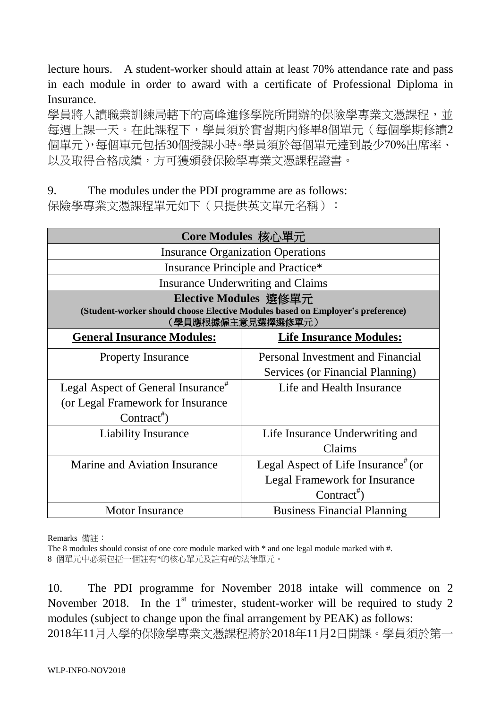lecture hours. A student-worker should attain at least 70% attendance rate and pass in each module in order to award with a certificate of Professional Diploma in Insurance.

學員將入讀職業訓練局轄下的高峰進修學院所開辦的保險學專業文憑課程,並 每週上課一天。在此課程下,學員須於實習期內修畢8個單元(每個學期修讀2 個單元),每個單元包括30個授課小時。學員須於每個單元達到最少70%出席率、 以及取得合格成績,方可獲頒發保險學專業文憑課程證書。

9. The modules under the PDI programme are as follows:

保險學專業文憑課程單元如下(只提供英文單元名稱):

| Core Modules 核心單元                                                                                   |                                                 |  |  |
|-----------------------------------------------------------------------------------------------------|-------------------------------------------------|--|--|
| <b>Insurance Organization Operations</b>                                                            |                                                 |  |  |
| Insurance Principle and Practice*                                                                   |                                                 |  |  |
| Insurance Underwriting and Claims                                                                   |                                                 |  |  |
| Elective Modules 選修單元                                                                               |                                                 |  |  |
| (Student-worker should choose Elective Modules based on Employer's preference)<br>(學員應根據僱主意見選擇選修單元) |                                                 |  |  |
| <b>General Insurance Modules:</b>                                                                   | <b>Life Insurance Modules:</b>                  |  |  |
| <b>Property Insurance</b>                                                                           | Personal Investment and Financial               |  |  |
|                                                                                                     | Services (or Financial Planning)                |  |  |
| Legal Aspect of General Insurance <sup><math>#</math></sup>                                         | Life and Health Insurance                       |  |  |
| (or Legal Framework for Insurance                                                                   |                                                 |  |  |
| Contract <sup>#</sup> )                                                                             |                                                 |  |  |
| <b>Liability Insurance</b>                                                                          | Life Insurance Underwriting and                 |  |  |
|                                                                                                     | Claims                                          |  |  |
| Marine and Aviation Insurance                                                                       | Legal Aspect of Life Insurance <sup>#</sup> (or |  |  |
|                                                                                                     | <b>Legal Framework for Insurance</b>            |  |  |
|                                                                                                     | Contract <sup>#</sup>                           |  |  |
| <b>Motor Insurance</b>                                                                              | <b>Business Financial Planning</b>              |  |  |

Remarks 備註:

The 8 modules should consist of one core module marked with  $*$  and one legal module marked with #. 8 個單元中必須包括一個註有\*的核心單元及註有#的法律單元。

10. The PDI programme for November 2018 intake will commence on 2 November 2018. In the  $1<sup>st</sup>$  trimester, student-worker will be required to study 2 modules (subject to change upon the final arrangement by PEAK) as follows: 2018年11月入學的保險學專業文憑課程將於2018年11月2日開課。學員須於第一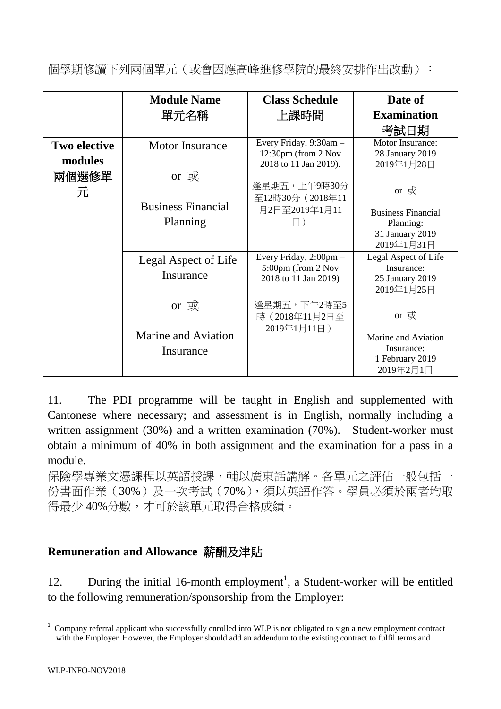個學期修讀下列兩個單元(或會因應高峰進修學院的最終安排作出改動):

|                                | <b>Module Name</b>                       | <b>Class Schedule</b>                                                  | Date of                                                                   |
|--------------------------------|------------------------------------------|------------------------------------------------------------------------|---------------------------------------------------------------------------|
|                                | 單元名稱                                     | 上課時間                                                                   | <b>Examination</b>                                                        |
|                                |                                          |                                                                        | 考試日期                                                                      |
| <b>Two elective</b><br>modules | <b>Motor Insurance</b>                   | Every Friday, 9:30am -<br>12:30pm (from 2 Nov<br>2018 to 11 Jan 2019). | Motor Insurance:<br>28 January 2019<br>2019年1月28日                         |
| 兩個選修單<br>元                     | or 或                                     | 逢星期五,上午9時30分<br>至12時30分 (2018年11                                       | or 或                                                                      |
|                                | <b>Business Financial</b><br>Planning    | 月2日至2019年1月11<br>$\boxminus$ )                                         | <b>Business Financial</b><br>Planning:<br>31 January 2019<br>2019年1月31日   |
|                                | Legal Aspect of Life<br>Insurance        | Every Friday, 2:00pm -<br>5:00pm (from 2 Nov<br>2018 to 11 Jan 2019)   | Legal Aspect of Life<br>Insurance:<br>25 January 2019<br>2019年1月25日       |
|                                | or 或<br>Marine and Aviation<br>Insurance | 逢星期五,下午2時至5<br>時 (2018年11月2日至<br>2019年1月11日)                           | or 或<br>Marine and Aviation<br>Insurance:<br>1 February 2019<br>2019年2月1日 |

11. The PDI programme will be taught in English and supplemented with Cantonese where necessary; and assessment is in English, normally including a written assignment (30%) and a written examination (70%). Student-worker must obtain a minimum of 40% in both assignment and the examination for a pass in a module.

保險學專業文憑課程以英語授課,輔以廣東話講解。各單元之評估一般包括一 份書面作業(30%)及一次考試(70%),須以英語作答。學員必須於兩者均取 得最少40%分數,才可於該單元取得合格成績。

## **Remuneration and Allowance** 薪酬及津貼

12. During the initial 16-month employment<sup>1</sup>, a Student-worker will be entitled to the following remuneration/sponsorship from the Employer:

1

<sup>1</sup> Company referral applicant who successfully enrolled into WLP is not obligated to sign a new employment contract with the Employer. However, the Employer should add an addendum to the existing contract to fulfil terms and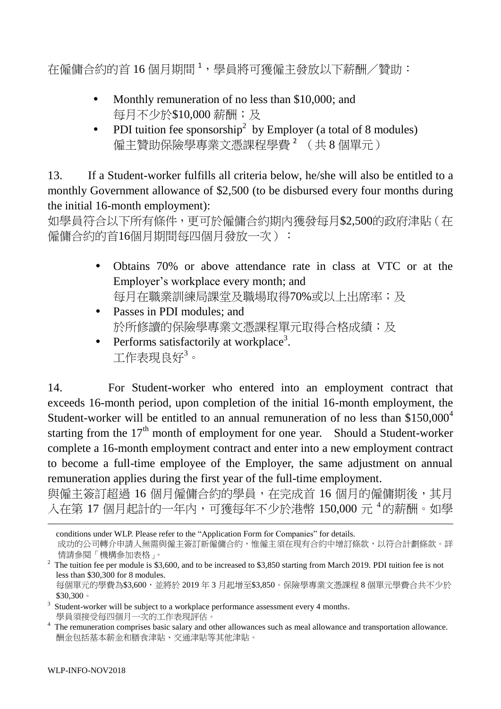在僱傭合約的首 16 個月期間 <sup>1</sup>,學員將可獲僱主發放以下薪酬/贊助:

- Monthly remuneration of no less than \$10,000; and 每月不少於\$10,000 薪酬;及
- PDI tuition fee sponsorship<sup>2</sup> by Employer (a total of 8 modules) 僱主贊助保險學專業文憑課程學費 <sup>2</sup> (共 8 個單元)

13. If a Student-worker fulfills all criteria below, he/she will also be entitled to a monthly Government allowance of \$2,500 (to be disbursed every four months during the initial 16-month employment):

如學員符合以下所有條件,更可於僱傭合約期內獲發每月\$2,500的政府津貼(在 僱傭合約的首16個月期間每四個月發放一次):

- Obtains 70% or above attendance rate in class at VTC or at the Employer's workplace every month; and 每月在職業訓練局課堂及職場取得70%或以上出席率;及
- Passes in PDI modules; and 於所修讀的保險學專業文憑課程單元取得合格成績;及
- Performs satisfactorily at workplace<sup>3</sup>. 工作表現良好<sup>3</sup>。

14. For Student-worker who entered into an employment contract that exceeds 16-month period, upon completion of the initial 16-month employment, the Student-worker will be entitled to an annual remuneration of no less than \$150,000<sup>4</sup> starting from the  $17<sup>th</sup>$  month of employment for one year. Should a Student-worker complete a 16-month employment contract and enter into a new employment contract to become a full-time employee of the Employer, the same adjustment on annual remuneration applies during the first year of the full-time employment.

與僱主簽訂超過 16 個月僱傭合約的學員,在完成首 16 個月的僱傭期後,其月 入在第17個月起計的一年內,可獲每年不少於港幣 150,000元 4的薪酬。如學

-

conditions under WLP. Please refer to the "Application Form for Companies" for details. 成功的公司轉介申請人無需與僱主簽訂新僱傭合約,惟僱主須在現有合約中增訂條款,以符合計劃條款。詳 情請參閱「機構參加表格」。

 $2$  The tuition fee per module is \$3,600, and to be increased to \$3,850 starting from March 2019. PDI tuition fee is not less than \$30,300 for 8 modules. 每個單元的學費為\$3,600,並將於 2019 年 3 月起增至\$3,850。保險學專業文憑課程 8 個單元學費合共不少於

<sup>\$30,300</sup>。  $3$  Student-worker will be subject to a workplace performance assessment every 4 months. 學員須接受每四個月一次的工作表現評估。

<sup>&</sup>lt;sup>4</sup> The remuneration comprises basic salary and other allowances such as meal allowance and transportation allowance. 酬金包括基本薪金和膳食津貼、交通津貼等其他津貼。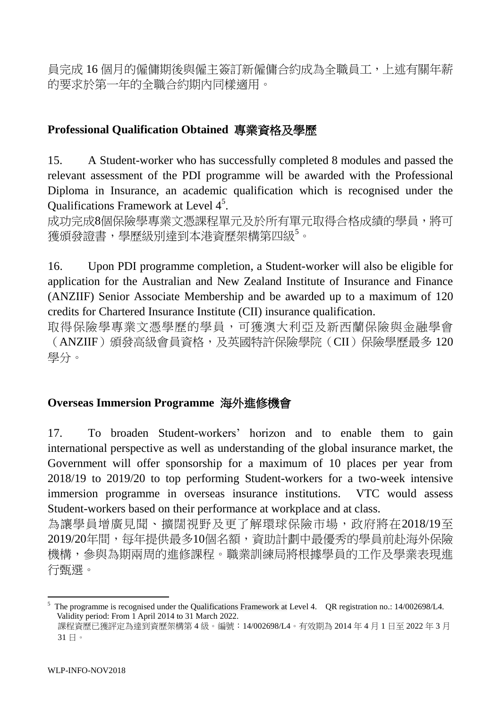員完成 16 個月的僱傭期後與僱主簽訂新僱傭合約成為全職員工,上述有關年薪 的要求於第一年的全職合約期內同樣適用。

#### **Professional Qualification Obtained** 專業資格及學歷

15. A Student-worker who has successfully completed 8 modules and passed the relevant assessment of the PDI programme will be awarded with the Professional Diploma in Insurance, an academic qualification which is recognised under the Qualifications Framework at Level 4<sup>5</sup>.

成功完成8個保險學專業文憑課程單元及於所有單元取得合格成績的學員,將可 獲頒發證書,學歷級別達到本港資歷架構第四級<sup>5</sup>。

16. Upon PDI programme completion, a Student-worker will also be eligible for application for the Australian and New Zealand Institute of Insurance and Finance (ANZIIF) Senior Associate Membership and be awarded up to a maximum of 120 credits for Chartered Insurance Institute (CII) insurance qualification.

取得保險學專業文憑學歷的學員,可獲澳大利亞及新西蘭保險與金融學會 (ANZIIF)頒發高級會員資格,及英國特許保險學院(CII)保險學歷最多 120 學分。

#### **Overseas Immersion Programme** 海外進修機會

17. To broaden Student-workers' horizon and to enable them to gain international perspective as well as understanding of the global insurance market, the Government will offer sponsorship for a maximum of 10 places per year from 2018/19 to 2019/20 to top performing Student-workers for a two-week intensive immersion programme in overseas insurance institutions. VTC would assess Student-workers based on their performance at workplace and at class.

為讓學員增廣見聞、擴闊視野及更了解環球保險市場,政府將在2018/19至 2019/20年間,每年提供最多10個名額,資助計劃中最優秀的學員前赴海外保險 機構,參與為期兩周的進修課程。職業訓練局將根據學員的工作及學業表現進 行甄選。

<sup>-</sup>The programme is recognised under the Qualifications Framework at Level 4. QR registration no.: 14/002698/L4. Validity period: From 1 April 2014 to 31 March 2022.

課程資歷已獲評定為達到資歷架構第 4 級。編號:14/002698/L4。有效期為 2014 年 4 月 1 日至 2022 年 3 月 31 日。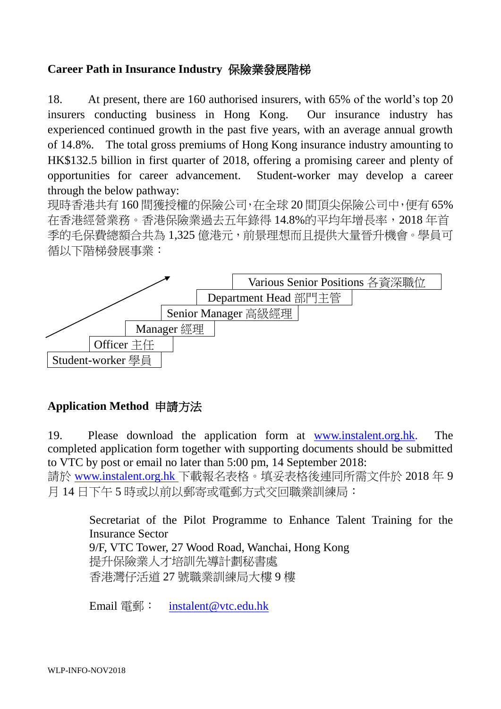#### **Career Path in Insurance Industry** 保險業發展階梯

18. At present, there are 160 authorised insurers, with 65% of the world's top 20 insurers conducting business in Hong Kong. Our insurance industry has experienced continued growth in the past five years, with an average annual growth of 14.8%. The total gross premiums of Hong Kong insurance industry amounting to HK\$132.5 billion in first quarter of 2018, offering a promising career and plenty of opportunities for career advancement. Student-worker may develop a career through the below pathway:

現時香港共有 160 間獲授權的保險公司,在全球 20 間頂尖保險公司中,便有 65% 在香港經營業務。香港保險業過去五年錄得 14.8%的平均年增長率,2018 年首 季的毛保費總額合共為 1,325 億港元,前景理想而且提供大量晉升機會。學員可 循以下階梯發展事業:



## **Application Method** 申請方法

19. Please download the application form at [www.instalent.org.hk.](http://www.instalent.org.hk/) The completed application form together with supporting documents should be submitted to VTC by post or email no later than 5:00 pm, 14 September 2018:

請於 [www.instalent.org.hk](http://www.instalent.org.hk/) 下載報名表格。填妥表格後連同所需文件於 2018 年 9 月 14 日下午 5 時或以前以郵寄或電郵方式交回職業訓練局:

> Secretariat of the Pilot Programme to Enhance Talent Training for the Insurance Sector 9/F, VTC Tower, 27 Wood Road, Wanchai, Hong Kong 提升保險業人才培訓先導計劃秘書處 香港灣仔活道 27 號職業訓練局大樓 9 樓

Email 電郵: [instalent@vtc.edu.hk](mailto:instalent@vtc.edu.hk)